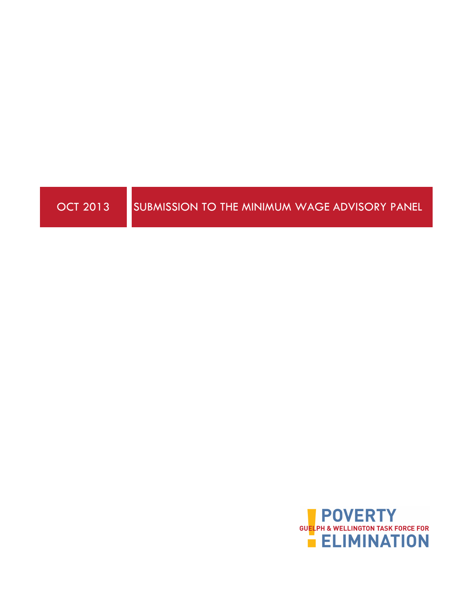

OCT 2013 SUBMISSION TO THE MINIMUM WAGE ADVISORY PANEL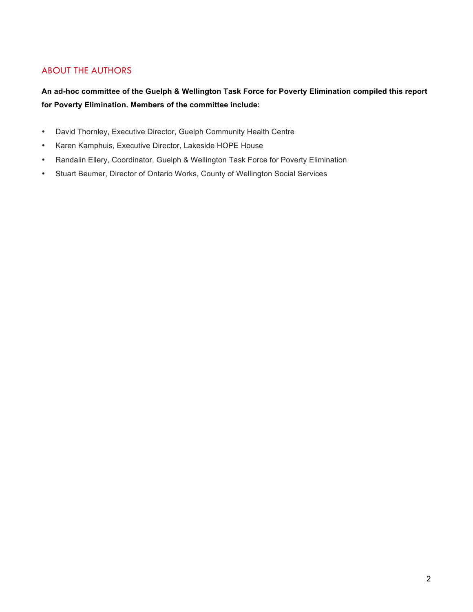### ABOUT THE AUTHORS

**An ad-hoc committee of the Guelph & Wellington Task Force for Poverty Elimination compiled this report for Poverty Elimination. Members of the committee include:** 

- David Thornley, Executive Director, Guelph Community Health Centre
- Karen Kamphuis, Executive Director, Lakeside HOPE House
- Randalin Ellery, Coordinator, Guelph & Wellington Task Force for Poverty Elimination
- Stuart Beumer, Director of Ontario Works, County of Wellington Social Services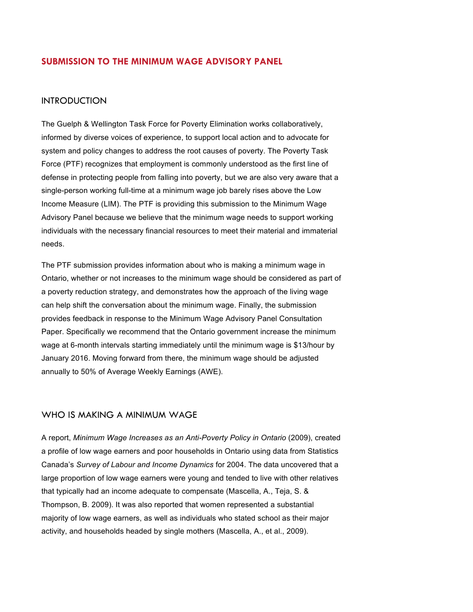#### **SUBMISSION TO THE MINIMUM WAGE ADVISORY PANEL**

#### **INTRODUCTION**

The Guelph & Wellington Task Force for Poverty Elimination works collaboratively, informed by diverse voices of experience, to support local action and to advocate for system and policy changes to address the root causes of poverty. The Poverty Task Force (PTF) recognizes that employment is commonly understood as the first line of defense in protecting people from falling into poverty, but we are also very aware that a single-person working full-time at a minimum wage job barely rises above the Low Income Measure (LIM). The PTF is providing this submission to the Minimum Wage Advisory Panel because we believe that the minimum wage needs to support working individuals with the necessary financial resources to meet their material and immaterial needs.

The PTF submission provides information about who is making a minimum wage in Ontario, whether or not increases to the minimum wage should be considered as part of a poverty reduction strategy, and demonstrates how the approach of the living wage can help shift the conversation about the minimum wage. Finally, the submission provides feedback in response to the Minimum Wage Advisory Panel Consultation Paper. Specifically we recommend that the Ontario government increase the minimum wage at 6-month intervals starting immediately until the minimum wage is \$13/hour by January 2016. Moving forward from there, the minimum wage should be adjusted annually to 50% of Average Weekly Earnings (AWE).

#### WHO IS MAKING A MINIMUM WAGE

A report, *Minimum Wage Increases as an Anti-Poverty Policy in Ontario* (2009), created a profile of low wage earners and poor households in Ontario using data from Statistics Canada's *Survey of Labour and Income Dynamics* for 2004. The data uncovered that a large proportion of low wage earners were young and tended to live with other relatives that typically had an income adequate to compensate (Mascella, A., Teja, S. & Thompson, B. 2009). It was also reported that women represented a substantial majority of low wage earners, as well as individuals who stated school as their major activity, and households headed by single mothers (Mascella, A., et al., 2009).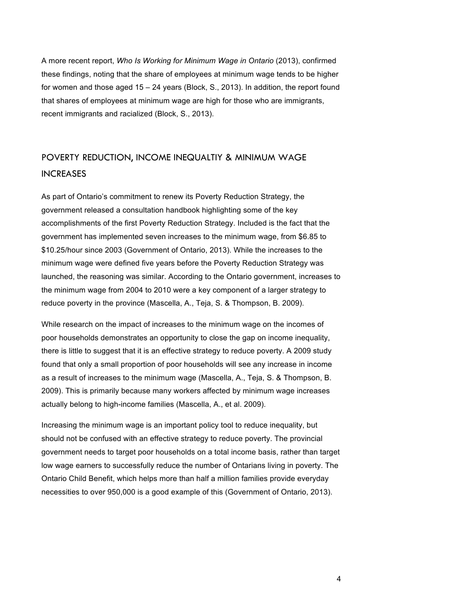A more recent report, *Who Is Working for Minimum Wage in Ontario* (2013), confirmed these findings, noting that the share of employees at minimum wage tends to be higher for women and those aged 15 – 24 years (Block, S., 2013). In addition, the report found that shares of employees at minimum wage are high for those who are immigrants, recent immigrants and racialized (Block, S., 2013).

# POVERTY REDUCTION, INCOME INEQUALTIY & MINIMUM WAGE INCREASES

As part of Ontario's commitment to renew its Poverty Reduction Strategy, the government released a consultation handbook highlighting some of the key accomplishments of the first Poverty Reduction Strategy. Included is the fact that the government has implemented seven increases to the minimum wage, from \$6.85 to \$10.25/hour since 2003 (Government of Ontario, 2013). While the increases to the minimum wage were defined five years before the Poverty Reduction Strategy was launched, the reasoning was similar. According to the Ontario government, increases to the minimum wage from 2004 to 2010 were a key component of a larger strategy to reduce poverty in the province (Mascella, A., Teja, S. & Thompson, B. 2009).

While research on the impact of increases to the minimum wage on the incomes of poor households demonstrates an opportunity to close the gap on income inequality, there is little to suggest that it is an effective strategy to reduce poverty. A 2009 study found that only a small proportion of poor households will see any increase in income as a result of increases to the minimum wage (Mascella, A., Teja, S. & Thompson, B. 2009). This is primarily because many workers affected by minimum wage increases actually belong to high-income families (Mascella, A., et al. 2009).

Increasing the minimum wage is an important policy tool to reduce inequality, but should not be confused with an effective strategy to reduce poverty. The provincial government needs to target poor households on a total income basis, rather than target low wage earners to successfully reduce the number of Ontarians living in poverty. The Ontario Child Benefit, which helps more than half a million families provide everyday necessities to over 950,000 is a good example of this (Government of Ontario, 2013).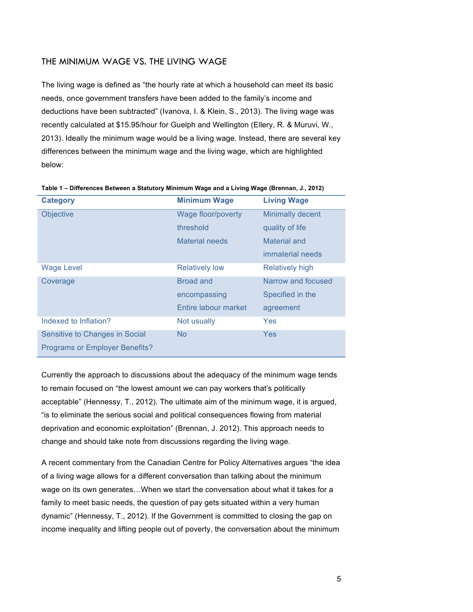#### THE MINIMUM WAGE VS. THE LIVING WAGE

The living wage is defined as "the hourly rate at which a household can meet its basic needs, once government transfers have been added to the family's income and deductions have been subtracted" (Ivanova, I. & Klein, S., 2013). The living wage was recently calculated at \$15.95/hour for Guelph and Wellington (Ellery, R. & Muruvi, W., 2013). Ideally the minimum wage would be a living wage. Instead, there are several key differences between the minimum wage and the living wage, which are highlighted below:

| <b>Category</b>                       | <b>Minimum Wage</b>   | <b>Living Wage</b>     |
|---------------------------------------|-----------------------|------------------------|
| <b>Objective</b>                      | Wage floor/poverty    | Minimally decent       |
|                                       | threshold             | quality of life        |
|                                       | Material needs        | Material and           |
|                                       |                       | immaterial needs       |
| <b>Wage Level</b>                     | <b>Relatively low</b> | <b>Relatively high</b> |
| Coverage                              | <b>Broad and</b>      | Narrow and focused     |
|                                       | encompassing          | Specified in the       |
|                                       | Entire labour market  | agreement              |
| Indexed to Inflation?                 | Not usually           | Yes                    |
| Sensitive to Changes in Social        | <b>No</b>             | Yes                    |
| <b>Programs or Employer Benefits?</b> |                       |                        |

**Table 1 – Differences Between a Statutory Minimum Wage and a Living Wage (Brennan, J., 2012)**

Currently the approach to discussions about the adequacy of the minimum wage tends to remain focused on "the lowest amount we can pay workers that's politically acceptable" (Hennessy, T., 2012). The ultimate aim of the minimum wage, it is argued, "is to eliminate the serious social and political consequences flowing from material deprivation and economic exploitation" (Brennan, J. 2012). This approach needs to change and should take note from discussions regarding the living wage.

A recent commentary from the Canadian Centre for Policy Alternatives argues "the idea of a living wage allows for a different conversation than talking about the minimum wage on its own generates…When we start the conversation about what it takes for a family to meet basic needs, the question of pay gets situated within a very human dynamic" (Hennessy, T., 2012). If the Government is committed to closing the gap on income inequality and lifting people out of poverty, the conversation about the minimum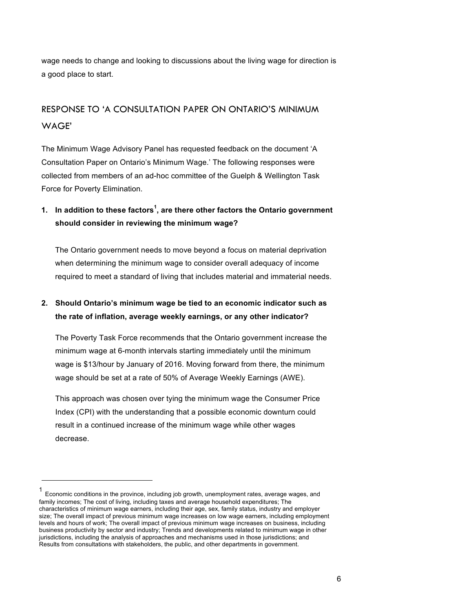wage needs to change and looking to discussions about the living wage for direction is a good place to start.

# RESPONSE TO 'A CONSULTATION PAPER ON ONTARIO'S MINIMUM WAGE'

The Minimum Wage Advisory Panel has requested feedback on the document 'A Consultation Paper on Ontario's Minimum Wage.' The following responses were collected from members of an ad-hoc committee of the Guelph & Wellington Task Force for Poverty Elimination.

## **1. In addition to these factors<sup>1</sup> , are there other factors the Ontario government should consider in reviewing the minimum wage?**

The Ontario government needs to move beyond a focus on material deprivation when determining the minimum wage to consider overall adequacy of income required to meet a standard of living that includes material and immaterial needs.

### **2. Should Ontario's minimum wage be tied to an economic indicator such as the rate of inflation, average weekly earnings, or any other indicator?**

The Poverty Task Force recommends that the Ontario government increase the minimum wage at 6-month intervals starting immediately until the minimum wage is \$13/hour by January of 2016. Moving forward from there, the minimum wage should be set at a rate of 50% of Average Weekly Earnings (AWE).

This approach was chosen over tying the minimum wage the Consumer Price Index (CPI) with the understanding that a possible economic downturn could result in a continued increase of the minimum wage while other wages decrease.

!!!!!!!!!!!!!!!!!!!!!!!!!!!!!!!!!!!!!!!!!!!!!!!!!!!!!!!

Economic conditions in the province, including job growth, unemployment rates, average wages, and family incomes; The cost of living, including taxes and average household expenditures; The characteristics of minimum wage earners, including their age, sex, family status, industry and employer size; The overall impact of previous minimum wage increases on low wage earners, including employment levels and hours of work; The overall impact of previous minimum wage increases on business, including business productivity by sector and industry; Trends and developments related to minimum wage in other jurisdictions, including the analysis of approaches and mechanisms used in those jurisdictions; and Results from consultations with stakeholders, the public, and other departments in government.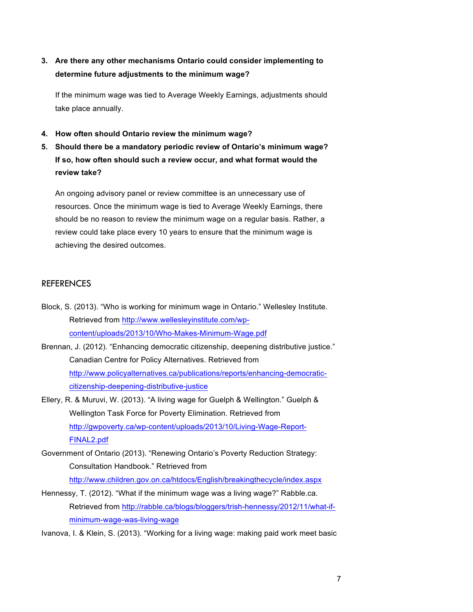**3. Are there any other mechanisms Ontario could consider implementing to determine future adjustments to the minimum wage?**

If the minimum wage was tied to Average Weekly Earnings, adjustments should take place annually.

- **4. How often should Ontario review the minimum wage?**
- **5. Should there be a mandatory periodic review of Ontario's minimum wage? If so, how often should such a review occur, and what format would the review take?**

An ongoing advisory panel or review committee is an unnecessary use of resources. Once the minimum wage is tied to Average Weekly Earnings, there should be no reason to review the minimum wage on a regular basis. Rather, a review could take place every 10 years to ensure that the minimum wage is achieving the desired outcomes.

#### **REFERENCES**

- Block, S. (2013). "Who is working for minimum wage in Ontario." Wellesley Institute. Retrieved from http://www.wellesleyinstitute.com/wpcontent/uploads/2013/10/Who-Makes-Minimum-Wage.pdf
- Brennan, J. (2012). "Enhancing democratic citizenship, deepening distributive justice." Canadian Centre for Policy Alternatives. Retrieved from http://www.policyalternatives.ca/publications/reports/enhancing-democraticcitizenship-deepening-distributive-justice
- Ellery, R. & Muruvi, W. (2013). "A living wage for Guelph & Wellington." Guelph & Wellington Task Force for Poverty Elimination. Retrieved from http://gwpoverty.ca/wp-content/uploads/2013/10/Living-Wage-Report-FINAL2.pdf
- Government of Ontario (2013). "Renewing Ontario's Poverty Reduction Strategy: Consultation Handbook." Retrieved from
	- http://www.children.gov.on.ca/htdocs/English/breakingthecycle/index.aspx
- Hennessy, T. (2012). "What if the minimum wage was a living wage?" Rabble.ca. Retrieved from http://rabble.ca/blogs/bloggers/trish-hennessy/2012/11/what-ifminimum-wage-was-living-wage

Ivanova, I. & Klein, S. (2013). "Working for a living wage: making paid work meet basic